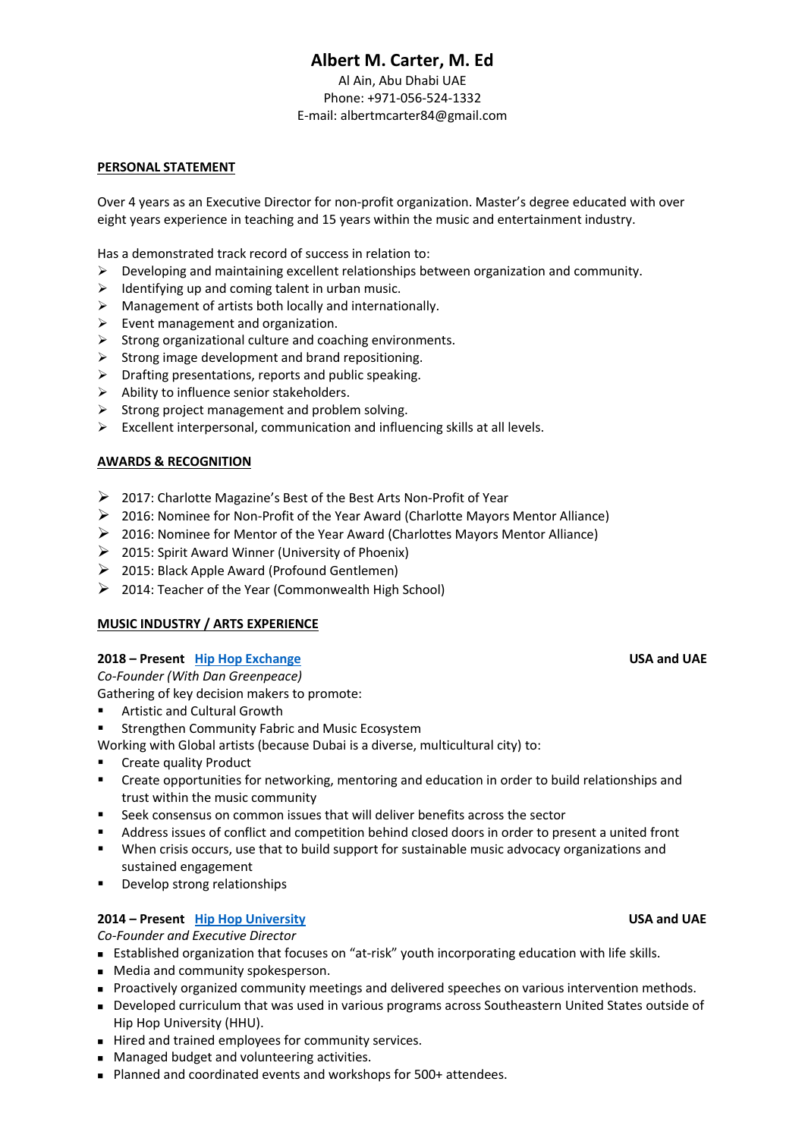# **Albert M. Carter, M. Ed**

Al Ain, Abu Dhabi UAE Phone: +971-056-524-1332 E-mail: albertmcarter84@gmail.com

### **PERSONAL STATEMENT**

Over 4 years as an Executive Director for non-profit organization. Master's degree educated with over eight years experience in teaching and 15 years within the music and entertainment industry.

Has a demonstrated track record of success in relation to:

- $\triangleright$  Developing and maintaining excellent relationships between organization and community.
- $\triangleright$  Identifying up and coming talent in urban music.
- $\triangleright$  Management of artists both locally and internationally.
- $\triangleright$  Event management and organization.
- ➢ Strong organizational culture and coaching environments.
- $\triangleright$  Strong image development and brand repositioning.
- ➢ Drafting presentations, reports and public speaking.
- ➢ Ability to influence senior stakeholders.
- ➢ Strong project management and problem solving.
- ➢ Excellent interpersonal, communication and influencing skills at all levels.

# **AWARDS & RECOGNITION**

- ➢ 2017: Charlotte Magazine's Best of the Best Arts Non-Profit of Year
- ➢ 2016: Nominee for Non-Profit of the Year Award (Charlotte Mayors Mentor Alliance)
- $\triangleright$  2016: Nominee for Mentor of the Year Award (Charlottes Mayors Mentor Alliance)
- ➢ 2015: Spirit Award Winner (University of Phoenix)
- ➢ 2015: Black Apple Award (Profound Gentlemen)
- ➢ 2014: Teacher of the Year (Commonwealth High School)

#### **MUSIC INDUSTRY / ARTS EXPERIENCE**

#### **2018 – Present Hip Hop Exchange USA and UAE**

*Co-Founder (With Dan Greenpeace)*

Gathering of key decision makers to promote:

- Artistic and Cultural Growth
- Strengthen Community Fabric and Music Ecosystem

Working with Global artists (because Dubai is a diverse, multicultural city) to:

- Create quality Product
- Create opportunities for networking, mentoring and education in order to build relationships and trust within the music community
- Seek consensus on common issues that will deliver benefits across the sector
- Address issues of conflict and competition behind closed doors in order to present a united front
- When crisis occurs, use that to build support for sustainable music advocacy organizations and sustained engagement
- Develop strong relationships

# **2014 – Present [Hip Hop Un](http://www.hiphopuniversity.org/)iversity USA and UAE**

*Co-Founder and Executive Director*

- Established organization that focuses on "at-risk" youth incorporating education with life skills.
- Media and community spokesperson.
- Proactively organized community meetings and delivered speeches on various intervention methods.
- Developed curriculum that was used in various programs across Southeastern United States outside of Hip Hop University (HHU).
- Hired and trained employees for community services.
- Managed budget and volunteering activities.
- Planned and coordinated events and workshops for 500+ attendees.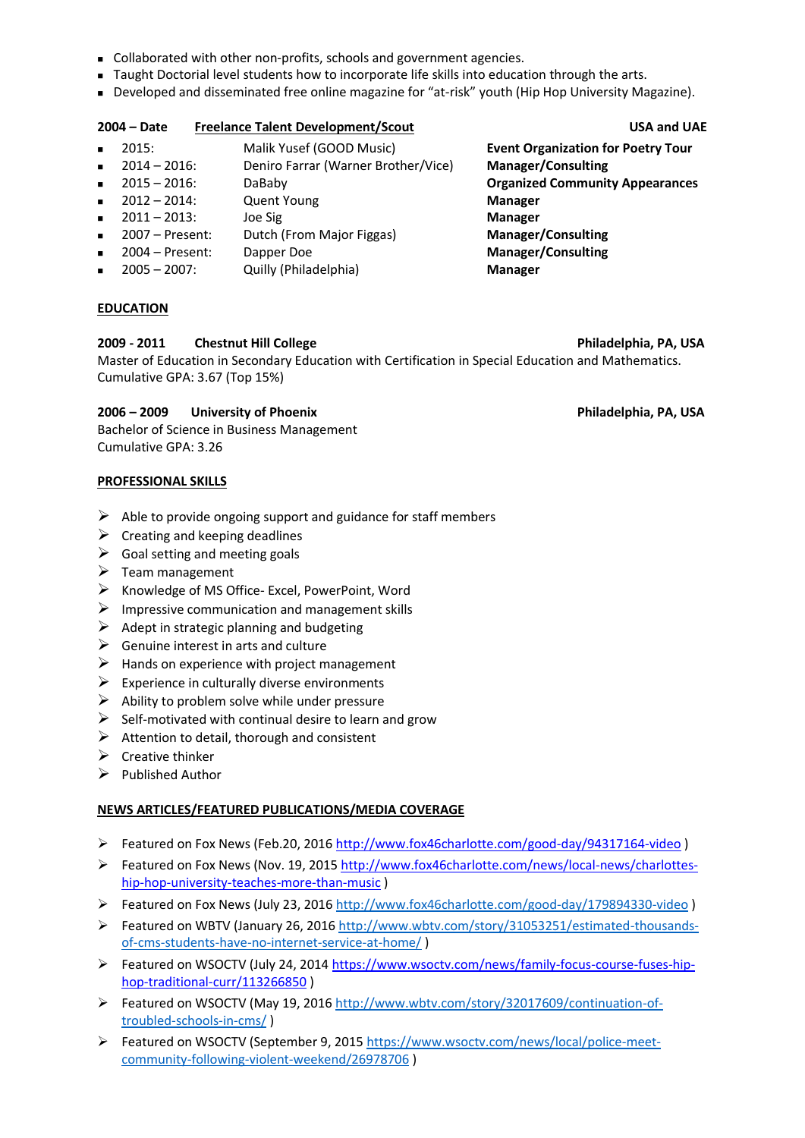- Collaborated with other non-profits, schools and government agencies.
- Taught Doctorial level students how to incorporate life skills into education through the arts.
- Developed and disseminated free online magazine for "at-risk" youth (Hip Hop University Magazine).

# **2004 – Date Freelance Talent Development/Scout USA and UAE**

- 2015: Malik Yusef (GOOD Music) **Event Organization for Poetry Tour**
- <sup>◼</sup> 2014 2016: Deniro Farrar (Warner Brother/Vice) **Manager/Consulting**
- 
- 2012 2014: Quent Young **Manager**
- 2011 2013: Joe Sig **Manager**
- 2007 Present: Dutch (From Major Figgas) **Manager/Consulting**
- 2004 Present: Dapper Doe **Manager/Consulting**
- 2005 2007: Quilly (Philadelphia) **Manager**

### **EDUCATION**

# **2009 - 2011 Chestnut Hill College Philadelphia, PA, USA**

Master of Education in Secondary Education with Certification in Special Education and Mathematics. Cumulative GPA: 3.67 (Top 15%)

### **2006 – 2009 University of Phoenix Philadelphia, PA, USA**

Bachelor of Science in Business Management Cumulative GPA: 3.26

#### **PROFESSIONAL SKILLS**

- $\triangleright$  Able to provide ongoing support and guidance for staff members
- $\triangleright$  Creating and keeping deadlines
- $\triangleright$  Goal setting and meeting goals
- $\triangleright$  Team management
- ➢ Knowledge of MS Office- Excel, PowerPoint, Word
- $\triangleright$  Impressive communication and management skills
- $\triangleright$  Adept in strategic planning and budgeting
- $\triangleright$  Genuine interest in arts and culture
- $\triangleright$  Hands on experience with project management
- $\triangleright$  Experience in culturally diverse environments
- $\triangleright$  Ability to problem solve while under pressure
- $\triangleright$  Self-motivated with continual desire to learn and grow
- $\triangleright$  Attention to detail, thorough and consistent
- ➢ Creative thinker
- $\triangleright$  Published Author

#### **NEWS ARTICLES/FEATURED PUBLICATIONS/MEDIA COVERAGE**

- ➢ Featured on Fox News (Feb.20, 201[6 http://www.fox46charlotte.com/good-day/94317164-video](http://www.fox46charlotte.com/good-day/94317164-video) )
- ➢ Featured on Fox News (Nov. 19, 2015 [http://www.fox46charlotte.com/news/local-news/charlottes](http://www.fox46charlotte.com/news/local-news/charlottes-hip-hop-university-teaches-more-than-music)[hip-hop-university-teaches-more-than-music](http://www.fox46charlotte.com/news/local-news/charlottes-hip-hop-university-teaches-more-than-music) )
- ➢ Featured on Fox News (July 23, 201[6 http://www.fox46charlotte.com/good-day/179894330-video](http://www.fox46charlotte.com/good-day/179894330-video) )
- ➢ Featured on WBTV (January 26, 201[6 http://www.wbtv.com/story/31053251/estimated-thousands](http://www.wbtv.com/story/31053251/estimated-thousands-of-cms-students-have-no-internet-service-at-home/)[of-cms-students-have-no-internet-service-at-home/](http://www.wbtv.com/story/31053251/estimated-thousands-of-cms-students-have-no-internet-service-at-home/) )
- ➢ Featured on WSOCTV (July 24, 201[4 https://www.wsoctv.com/news/family-focus-course-fuses-hip](https://www.wsoctv.com/news/family-focus-course-fuses-hip-hop-traditional-curr/113266850)[hop-traditional-curr/113266850](https://www.wsoctv.com/news/family-focus-course-fuses-hip-hop-traditional-curr/113266850) )
- ➢ Featured on WSOCTV (May 19, 2016 [http://www.wbtv.com/story/32017609/continuation-of](http://www.wbtv.com/story/32017609/continuation-of-troubled-schools-in-cms/)[troubled-schools-in-cms/](http://www.wbtv.com/story/32017609/continuation-of-troubled-schools-in-cms/) )
- ➢ Featured on WSOCTV (September 9, 2015 [https://www.wsoctv.com/news/local/police-meet](https://www.wsoctv.com/news/local/police-meet-community-following-violent-weekend/26978706)[community-following-violent-weekend/26978706](https://www.wsoctv.com/news/local/police-meet-community-following-violent-weekend/26978706) )

<sup>◼</sup> 2015 – 2016: DaBaby **Organized Community Appearances**